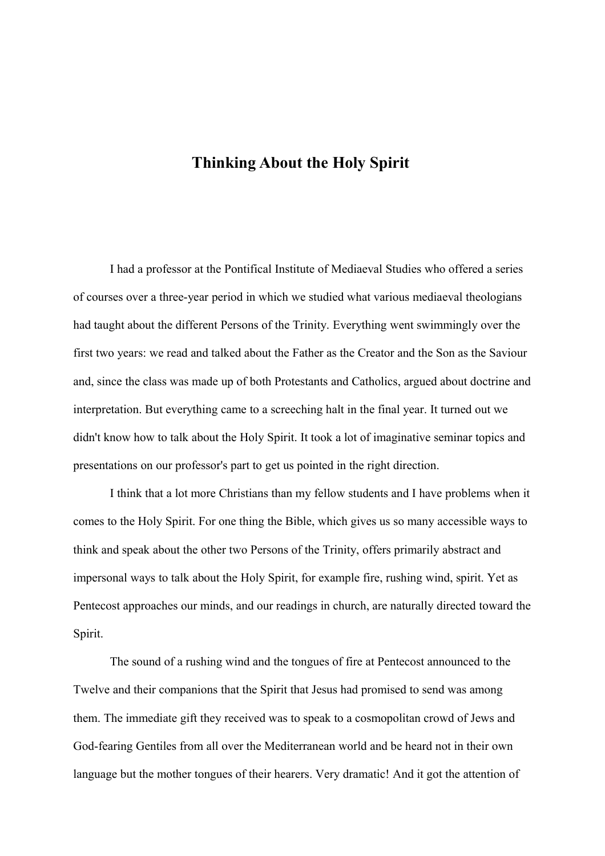## **Thinking About the Holy Spirit**

I had a professor at the Pontifical Institute of Mediaeval Studies who offered a series of courses over a three-year period in which we studied what various mediaeval theologians had taught about the different Persons of the Trinity. Everything went swimmingly over the first two years: we read and talked about the Father as the Creator and the Son as the Saviour and, since the class was made up of both Protestants and Catholics, argued about doctrine and interpretation. But everything came to a screeching halt in the final year. It turned out we didn't know how to talk about the Holy Spirit. It took a lot of imaginative seminar topics and presentations on our professor's part to get us pointed in the right direction.

I think that a lot more Christians than my fellow students and I have problems when it comes to the Holy Spirit. For one thing the Bible, which gives us so many accessible ways to think and speak about the other two Persons of the Trinity, offers primarily abstract and impersonal ways to talk about the Holy Spirit, for example fire, rushing wind, spirit. Yet as Pentecost approaches our minds, and our readings in church, are naturally directed toward the Spirit.

The sound of a rushing wind and the tongues of fire at Pentecost announced to the Twelve and their companions that the Spirit that Jesus had promised to send was among them. The immediate gift they received was to speak to a cosmopolitan crowd of Jews and God-fearing Gentiles from all over the Mediterranean world and be heard not in their own language but the mother tongues of their hearers. Very dramatic! And it got the attention of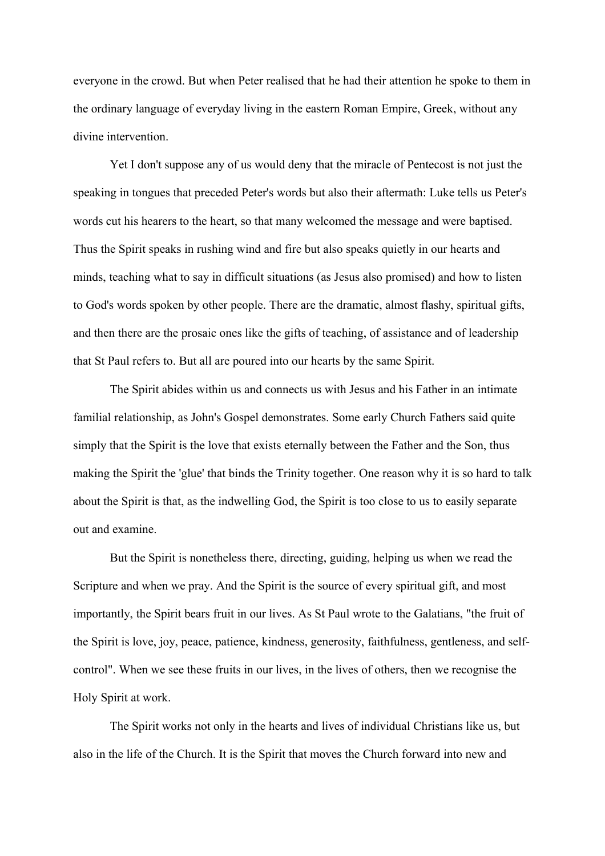everyone in the crowd. But when Peter realised that he had their attention he spoke to them in the ordinary language of everyday living in the eastern Roman Empire, Greek, without any divine intervention.

Yet I don't suppose any of us would deny that the miracle of Pentecost is not just the speaking in tongues that preceded Peter's words but also their aftermath: Luke tells us Peter's words cut his hearers to the heart, so that many welcomed the message and were baptised. Thus the Spirit speaks in rushing wind and fire but also speaks quietly in our hearts and minds, teaching what to say in difficult situations (as Jesus also promised) and how to listen to God's words spoken by other people. There are the dramatic, almost flashy, spiritual gifts, and then there are the prosaic ones like the gifts of teaching, of assistance and of leadership that St Paul refers to. But all are poured into our hearts by the same Spirit.

The Spirit abides within us and connects us with Jesus and his Father in an intimate familial relationship, as John's Gospel demonstrates. Some early Church Fathers said quite simply that the Spirit is the love that exists eternally between the Father and the Son, thus making the Spirit the 'glue' that binds the Trinity together. One reason why it is so hard to talk about the Spirit is that, as the indwelling God, the Spirit is too close to us to easily separate out and examine.

But the Spirit is nonetheless there, directing, guiding, helping us when we read the Scripture and when we pray. And the Spirit is the source of every spiritual gift, and most importantly, the Spirit bears fruit in our lives. As St Paul wrote to the Galatians, "the fruit of the Spirit is love, joy, peace, patience, kindness, generosity, faithfulness, gentleness, and selfcontrol". When we see these fruits in our lives, in the lives of others, then we recognise the Holy Spirit at work.

The Spirit works not only in the hearts and lives of individual Christians like us, but also in the life of the Church. It is the Spirit that moves the Church forward into new and